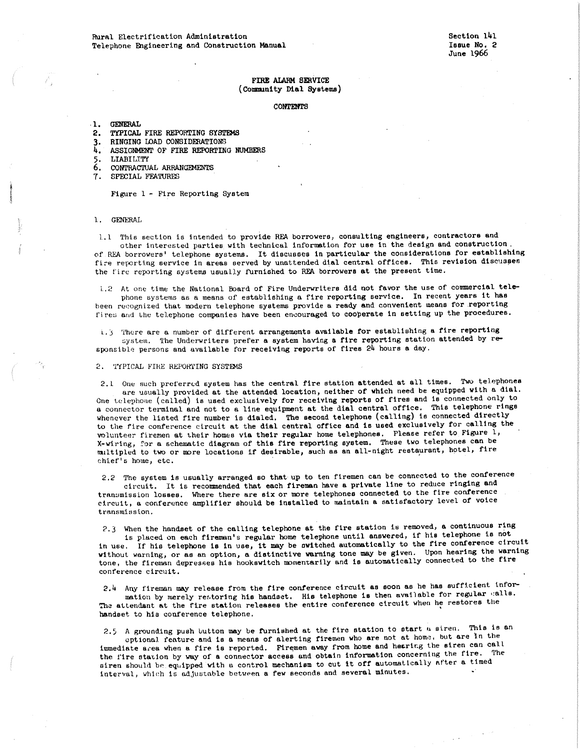# FIRE ALARM SERVICE (Community **Dial Systems**)

### CONTENTS

#### .1. GENERAL

2. TYPICAL FIRE REPORTING SYSTEMS

- 
- 3. RINGING LOAD CONSIDERATIONS<br>4. ASSIGNMENT OF FIRE REPORTING 4. ASSIGNMENT OF FIRE REPORTING NUMBERS
- 5. LIABILITY
- 6. CONTRACTUAL ARRANGEMENTS
- 7, SPECIAL FEATURES

Figure l - Fire Reporting System

### 1. GENERAL

l.1 This section is intended to provide REA borrowers, consulting engineers, contractors and other interested parties with technical information for use in the design and construction. of REA borrowers' telephone systems. It discusoes in particular the considerations for establishing fire reporting service in areas served by unattended dial central offices. This revision discusses the fire reporting systems usually furnished to REA borrowers at the present time.

1.2 At one time the National Board of Fire Underwriters did not favor the use of commercial tele<sup>p</sup>hone systems as a means of establishing a fire reporting service. In recent years it has been recognized that modern telephone systems provide a ready and convenient means for reporting fires and the telephone companies have been encouraged to cooperate in setting up the procedures.

L. J 'l'here are a number of different arrangements available for establishing **a** fire reporting system. The Underwriters prefer a system having a fire reporting station attended by responsible persons and available for receiving reports of fires 24 hours **a** day.

2. TYPICAL FIRE REPORTING SYSTEMS

2.1 One such preferred system has the central fire station attended at all times. Two telephones are usually provided at the attended location, neither of which need be equipped with a dial. One telephone (called) is used exclusively for receiving reports of fires and is connected only to a connector terminal and not to a line equipment **at** the dial central office. This telephone rings whenever the listed fire number is dialed. The second telephone (calling) is connected directly to the fire conference circuit at the dial central office and is used exclusively for calling the volunteer firemen at their homes via their regular home telephones. Please refer to Figure 1, X-wiring, ?or a schematic diagram of this fire reporting system. These two telephones can be multipled to two or more locations if desirable, such as an all-night restaurant, hotel, fire chief's home, etc.

2.2 The system is usually arranged so that up to ten firemen can be connected to the conference circuit. It is recommended that each fireman have **a** private line to reduce ringing and tranumission losses. Where there are six or more telcphoneo connected to the fire conference circuit, a conference amplifier should be installed to maintain **a** satisfactory level of voice transmission.

?,3 When the handset of the calling telephone at the fire station is removed, a continuous ring is placed on each fireman's regular home telephone until answered, if his telephone is not in use. If his telephone is in use, it may be switched automatically to the fire conference circuit without warning, or as an option, a distinctive warning tone may be given. Upon hearing the warning tone, the fireman depresses his hookswitch momentarily and is automatically connected to the fire conference circuit.

2,4 Any fireman may release from the fire conference circuit **as** soon as he has suffkient information by merely restoring his handset. His telephone is then available for regular calls. The attendant at the fire station releases the entire conference circuit when he restores the handset to his conference telephone.

2.5 A grounding push button may be furnished at the fire station to start a siren. This is an optional feature and is a means of alerting firemen who are not at home, but are in the immediate area when a fire is reported. Firemen away from home and hering the siren can call the fire station by way of a connector access and obtain information concerning the fire. The oiren should be equipped with a control mechanism to cut it off automatically after a timed interval, which is adjustable between a few seconds and several minutes.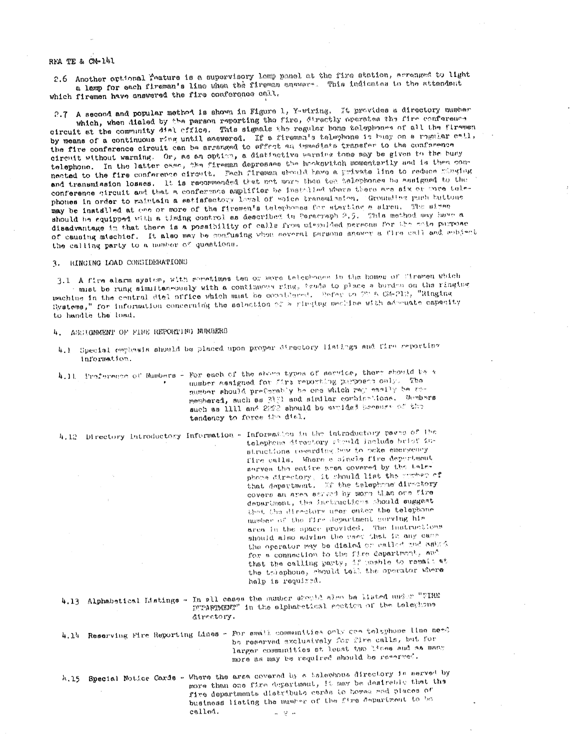# REA TE & CA-141

2.6 Another optional feature is a supervisory larg gamel at the fire station, arranged to light a lamp for each fireman's line when the fireman answers. This indicates to the attendant which firemen have answered the fire conference call.

2.7 A second and popular method is shown in Figure 1, Y-wiring. It provides a directory number

which, when dialed by the person reporting the fire, directly operates the fire conference circuit at the community dial civice. This signals the regular bone telephones of all the firemen by means of a continuous ring until answered. If a fireman's talephone is husy on a regular call, the fire conference circuit can be arranged to effect an immediate transfer to the conference circuit without warning. Or, as an option, a distinctive warning tone may be given to the busy telephone. In the latter case, the fireman depresses the hookswitch momentarily and is then connected to the fire conference circuit. Fach fireman should have a private line to reduce minuing and transmission losses. It is recommended that not work than ten telephones be assigned to the conference circuit and that a conference amplifier be installed where there are six or sore tolephones in order to maintain a satisfactory level of voice transmission. Grounding puch buttons may be installed at one or more of the firemen's telephones for starting a siren. The signer should be equipped with a timing control as described in Perscraph 2.5. This method may have a disadvantage in that there is a possibility of calls from missuided persons for the soil purpose of causing mischief. It also may be confusing when neveral persons snower a fire call and subject the calling party to a number of quastions.

3. RINGING LOAD CONSIDERATIONS

3.1. A fire alarm system, with seenstmes ten or more telephones in the homes of firemen which must be rung simultaneously with a continuous ring, bends to place a burden on the ringing machine in the central dial office which must be considered. Befar to 28 A CA-212, "Ringing Systems," for information concerning the selection of a ringing medine with admension capacity to handle the load.

4. ASSIGNMENT OF FIRE REPORTING NUMBERS

4.1 Special comphasis should be placed upon proper directory listings and fire reporting information.

4.11. Proference of Numbers - For each of the shown types of service, there should be a number assigned for firs reporting personer only. The number should preferably be one which rap easily be remembered, such as 3131 and similar combinations. Sambars such as illl and 2222 should be avaided because of the tendency to force the dial.

4.12 Directory Introductory Information - Information in the introductory pages of the telephone divectory stanld include brief instructions regarding bew to neke emergency fire calls. Where a single fire department serves the entire area covered by the talephone directory, it should list the sumber of that department. If the telephone directory covers an area served by more than one fixe department, the instanctions should suggest that the directory user enter the telephone number of the fire department sorving him area in the space provided. The instructions should also advise the vact that in any came the operator may be dialed or called and cessfor a connection to the fire department, and that the calling party, if mashle to remain at the triephone, should tell the operator where help is required.

4.13 Alphabetical Listings - In all cases the number should also be listed under "FIRE DYPARIMENT" in the alphabetical eretion of the teleghous directory.

4.14 Reserving Fire Reporting Lines - For small communities only can telephone line need be reserved exclusively for fire calls, but for larger communities at loast two lines and as many more as may be required should be reserved.

A.15 Special Notice Cards - Where the arca covered by a telephone directory is served by more than one fire department, it may be desirable that the fire departments distribute cards to homes and places of business listing the number of the fixe Separtment to be called.  $4 - 2 - 1$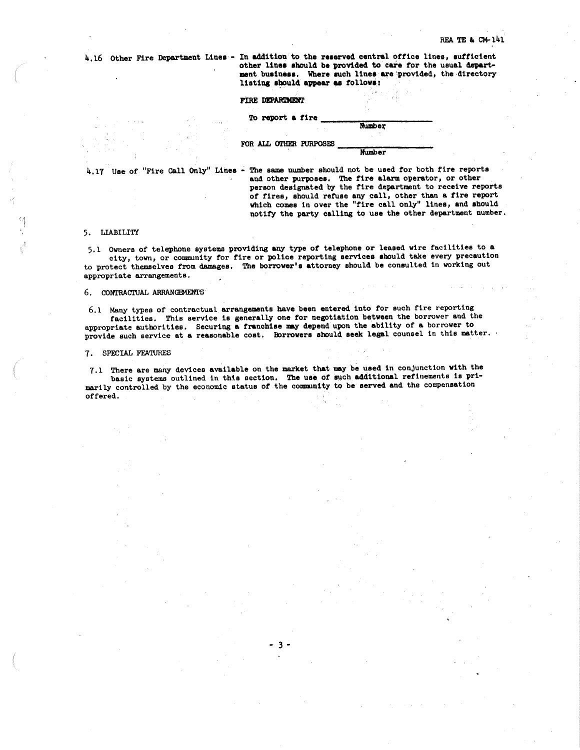4.16 Other Fire Department Lines - In addition to the reserved central office lines, sufficient other lines should be provided to care for the usual department business. Where such lines are provided, the directory listing should appear as follows:

## FIRE DEPARTMENT

# 'l'o report **a** fire------,.....~-----**Rumbe;\'**

FOR ALL OTHER PURPOSES Mumber

4.17 Use of "Fire Call Only" Lines - The same number should not be used for both fire reports and other purposes. The fire alarm operator, or other person designated by the fire department to receive reports of fires, should refuse any call, other than a fire report which comes in over the "fire call only" lines, and should notify the party calling to use the other department number.

### 5, LIABILITY

5,1 Owners of telephone ayatema providing any type of telephone or leased wire facilities to **<sup>a</sup>** city, town, or community for fire or police reporting services should take every precaution to protect themaelvee from damages, The borrower's attorney should be consulted in working out appropriate arrangements.

# 6. CONTRACTUAL ARRANGEMENTS

6.1 Many types of contractual arrangements have been entered into for such fire reporting facilities, Thie service la generally one for negotiation between the borrower and the appropriate authorities. Securing **a** franchise ay depend upon the ability of **a** borrower to provide such service at a reasonable cost. Borrowers should seek legal counsel in this matter.

### 7. SPECIAL FEATURES

7.1 There are many devices available on the market that may be used in conjunction with the basic systems outlined in this section. The use of such additional refinements is primarily controlled by the economic status of the community to be served and the compensation offered.